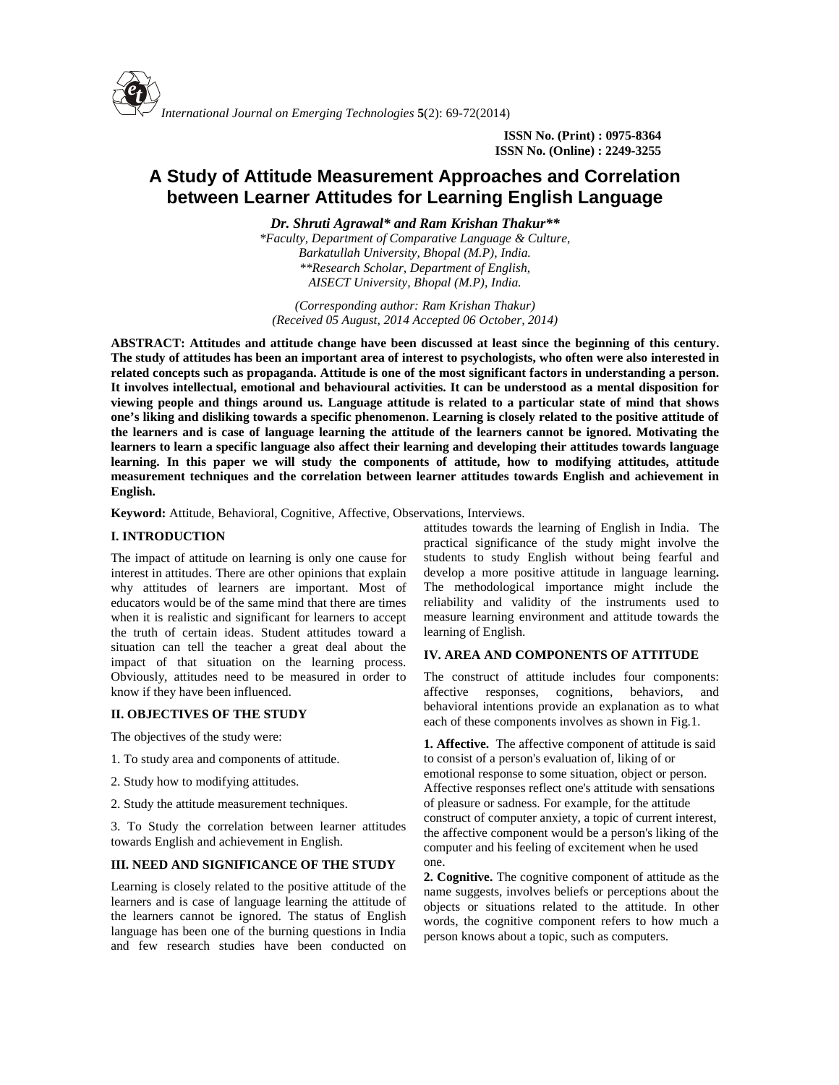

**ISSN No. (Print) : 0975-8364 ISSN No. (Online) : 2249-3255**

# **A Study of Attitude Measurement Approaches and Correlation between Learner Attitudes for Learning English Language**

*Dr. Shruti Agrawal\* and Ram Krishan Thakur\*\* \*Faculty, Department of Comparative Language & Culture, Barkatullah University, Bhopal (M.P), India. \*\*Research Scholar, Department of English, AISECT University, Bhopal (M.P), India.*

*(Corresponding author: Ram Krishan Thakur) (Received 05 August, 2014 Accepted 06 October, 2014)*

**ABSTRACT: Attitudes and attitude change have been discussed at least since the beginning of this century. The study of attitudes has been an important area of interest to psychologists, who often were also interested in related concepts such as propaganda. Attitude is one of the most significant factors in understanding a person. It involves intellectual, emotional and behavioural activities. It can be understood as a mental disposition for viewing people and things around us. Language attitude is related to a particular state of mind that shows one's liking and disliking towards a specific phenomenon. Learning is closely related to the positive attitude of the learners and is case of language learning the attitude of the learners cannot be ignored. Motivating the learners to learn a specific language also affect their learning and developing their attitudes towards language learning. In this paper we will study the components of attitude, how to modifying attitudes, attitude measurement techniques and the correlation between learner attitudes towards English and achievement in English.**

**Keyword:** Attitude, Behavioral, Cognitive, Affective, Observations, Interviews.

#### **I. INTRODUCTION**

The impact of attitude on learning is only one cause for interest in attitudes. There are other opinions that explain why attitudes of learners are important. Most of educators would be of the same mind that there are times when it is realistic and significant for learners to accept the truth of certain ideas. Student attitudes toward a situation can tell the teacher a great deal about the impact of that situation on the learning process. Obviously, attitudes need to be measured in order to know if they have been influenced.

## **II. OBJECTIVES OF THE STUDY**

The objectives of the study were:

- 1. To study area and components of attitude.
- 2. Study how to modifying attitudes.
- 2. Study the attitude measurement techniques.

3. To Study the correlation between learner attitudes towards English and achievement in English.

### **III. NEED AND SIGNIFICANCE OF THE STUDY**

Learning is closely related to the positive attitude of the learners and is case of language learning the attitude of the learners cannot be ignored. The status of English language has been one of the burning questions in India and few research studies have been conducted on

attitudes towards the learning of English in India. The practical significance of the study might involve the students to study English without being fearful and develop a more positive attitude in language learning**.** The methodological importance might include the reliability and validity of the instruments used to measure learning environment and attitude towards the learning of English.

#### **IV. AREA AND COMPONENTS OF ATTITUDE**

The construct of attitude includes four components: affective responses, cognitions, behaviors, and behavioral intentions provide an explanation as to what each of these components involves as shown in Fig.1.

**1. Affective.** The affective component of attitude is said to consist of a person's evaluation of, liking of or emotional response to some situation, object or person. Affective responses reflect one's attitude with sensations of pleasure or sadness. For example, for the attitude construct of computer anxiety, a topic of current interest, the affective component would be a person's liking of the computer and his feeling of excitement when he used one.

**2. Cognitive.** The cognitive component of attitude as the name suggests, involves beliefs or perceptions about the objects or situations related to the attitude. In other words, the cognitive component refers to how much a person knows about a topic, such as computers.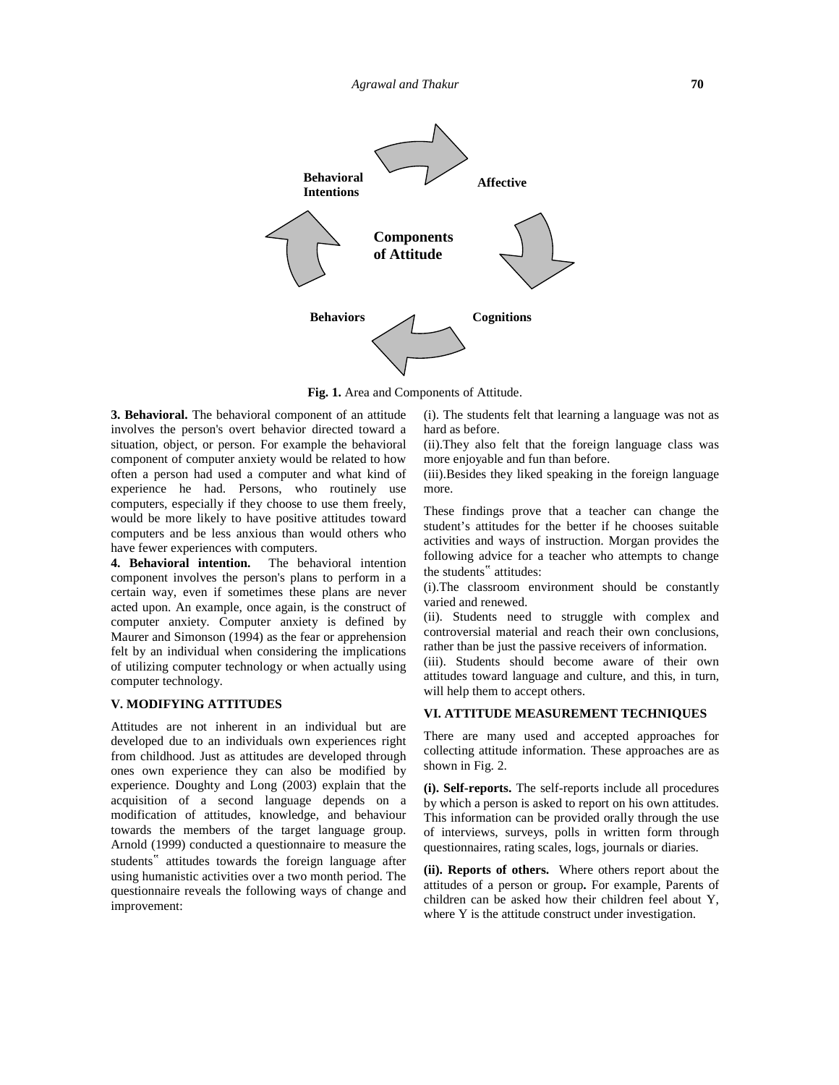

**Fig. 1.** Area and Components of Attitude.

**3. Behavioral.** The behavioral component of an attitude involves the person's overt behavior directed toward a situation, object, or person. For example the behavioral component of computer anxiety would be related to how often a person had used a computer and what kind of experience he had. Persons, who routinely use computers, especially if they choose to use them freely, would be more likely to have positive attitudes toward computers and be less anxious than would others who have fewer experiences with computers.

**4. Behavioral intention.** The behavioral intention component involves the person's plans to perform in a certain way, even if sometimes these plans are never acted upon. An example, once again, is the construct of computer anxiety. Computer anxiety is defined by Maurer and Simonson (1994) as the fear or apprehension felt by an individual when considering the implications of utilizing computer technology or when actually using computer technology.

#### **V. MODIFYING ATTITUDES**

Attitudes are not inherent in an individual but are developed due to an individuals own experiences right from childhood. Just as attitudes are developed through ones own experience they can also be modified by experience. Doughty and Long (2003) explain that the acquisition of a second language depends on a modification of attitudes, knowledge, and behaviour towards the members of the target language group. Arnold (1999) conducted a questionnaire to measure the students" attitudes towards the foreign language after using humanistic activities over a two month period. The questionnaire reveals the following ways of change and improvement:

(i). The students felt that learning a language was not as hard as before.

(ii).They also felt that the foreign language class was more enjoyable and fun than before.

(iii).Besides they liked speaking in the foreign language more.

These findings prove that a teacher can change the student's attitudes for the better if he chooses suitable activities and ways of instruction. Morgan provides the following advice for a teacher who attempts to change the students" attitudes:

(i).The classroom environment should be constantly varied and renewed.

(ii). Students need to struggle with complex and controversial material and reach their own conclusions, rather than be just the passive receivers of information.

(iii). Students should become aware of their own attitudes toward language and culture, and this, in turn, will help them to accept others.

### **VI. ATTITUDE MEASUREMENT TECHNIQUES**

There are many used and accepted approaches for collecting attitude information. These approaches are as shown in Fig. 2.

**(i). Self-reports.** The self-reports include all procedures by which a person is asked to report on his own attitudes. This information can be provided orally through the use of interviews, surveys, polls in written form through questionnaires, rating scales, logs, journals or diaries.

**(ii). Reports of others.** Where others report about the attitudes of a person or group**.** For example, Parents of children can be asked how their children feel about Y, where Y is the attitude construct under investigation.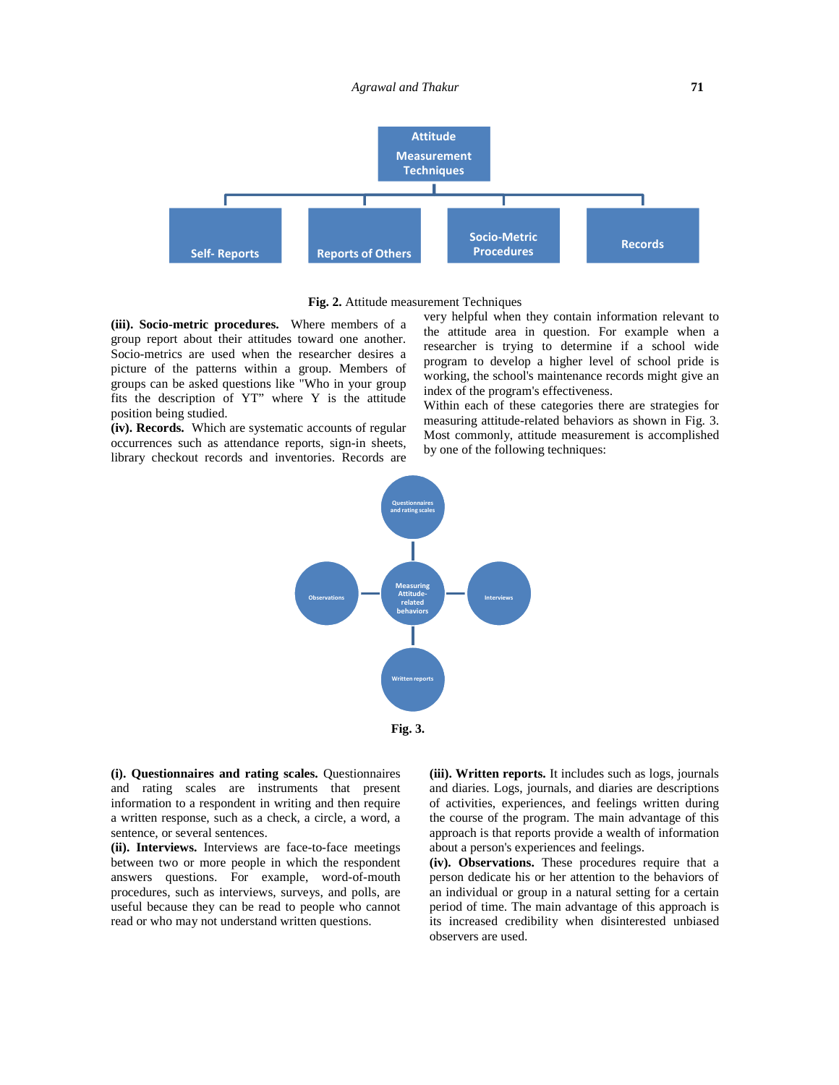#### *Agrawal and Thakur* **71**



**Fig. 2.** Attitude measurement Techniques

**(iii). Socio-metric procedures.** Where members of a group report about their attitudes toward one another. Socio-metrics are used when the researcher desires a picture of the patterns within a group. Members of groups can be asked questions like "Who in your group fits the description of YT" where Y is the attitude position being studied.

**(iv). Records.** Which are systematic accounts of regular occurrences such as attendance reports, sign-in sheets, library checkout records and inventories. Records are

very helpful when they contain information relevant to the attitude area in question. For example when a researcher is trying to determine if a school wide program to develop a higher level of school pride is working, the school's maintenance records might give an index of the program's effectiveness.

Within each of these categories there are strategies for measuring attitude-related behaviors as shown in Fig. 3. Most commonly, attitude measurement is accomplished by one of the following techniques:



**(i). Questionnaires and rating scales.** Questionnaires and rating scales are instruments that present information to a respondent in writing and then require a written response, such as a check, a circle, a word, a sentence, or several sentences.

**(ii). Interviews.** Interviews are face-to-face meetings between two or more people in which the respondent answers questions. For example, word-of-mouth procedures, such as interviews, surveys, and polls, are useful because they can be read to people who cannot read or who may not understand written questions.

**(iii). Written reports.** It includes such as logs, journals and diaries. Logs, journals, and diaries are descriptions of activities, experiences, and feelings written during the course of the program. The main advantage of this approach is that reports provide a wealth of information about a person's experiences and feelings.

**(iv). Observations.** These procedures require that a person dedicate his or her attention to the behaviors of an individual or group in a natural setting for a certain period of time. The main advantage of this approach is its increased credibility when disinterested unbiased observers are used.